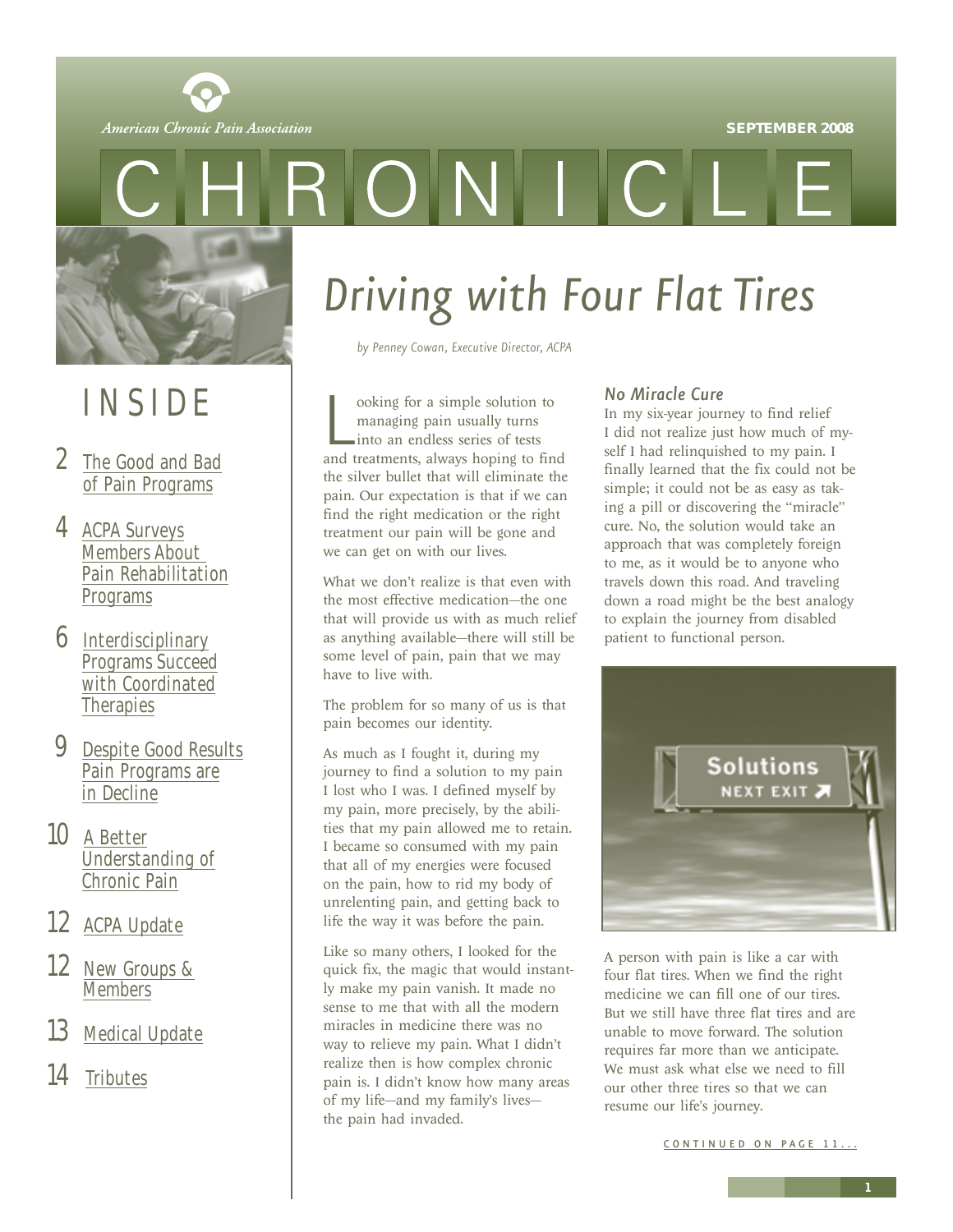

<span id="page-0-0"></span>

## INSIDE

- 2 [The Good and Bad](#page-1-0) of Pain Programs
- 4 ACPA Surveys Members About [Pain Rehabilitation](#page-3-0) Programs
- 6 Interdisciplinary [Programs Succeed](#page-5-0) with Coordinated **Therapies**
- 9 [Despite Good Results](#page-8-0) Pain Programs are in Decline
- 10 A Better [Understanding of](#page-9-0) Chronic Pain
- 12 [ACPA Update](#page-11-0)
- 12 [New Groups &](#page-11-0) **Members**
- 13 [Medical Update](#page-12-0)
- 14 [Tributes](#page-13-0)

# *Driving with Four Flat Tires*

ONIC

*by Penney Cowan, Executive Director, ACPA*

ooking for a simple solution to<br>managing pain usually turns<br>into an endless series of tests<br>and treatments, always hoping to find ooking for a simple solution to managing pain usually turns into an endless series of tests the silver bullet that will eliminate the pain. Our expectation is that if we can find the right medication or the right treatment our pain will be gone and we can get on with our lives.

What we don't realize is that even with the most effective medication—the one that will provide us with as much relief as anything available—there will still be some level of pain, pain that we may have to live with.

The problem for so many of us is that pain becomes our identity.

As much as I fought it, during my journey to find a solution to my pain I lost who I was. I defined myself by my pain, more precisely, by the abilities that my pain allowed me to retain. I became so consumed with my pain that all of my energies were focused on the pain, how to rid my body of unrelenting pain, and getting back to life the way it was before the pain.

Like so many others, I looked for the quick fix, the magic that would instantly make my pain vanish. It made no sense to me that with all the modern miracles in medicine there was no way to relieve my pain. What I didn't realize then is how complex chronic pain is. I didn't know how many areas of my life—and my family's lives the pain had invaded.

#### *No Miracle Cure*

In my six-year journey to find relief I did not realize just how much of myself I had relinquished to my pain. I finally learned that the fix could not be simple; it could not be as easy as taking a pill or discovering the "miracle" cure. No, the solution would take an approach that was completely foreign to me, as it would be to anyone who travels down this road. And traveling down a road might be the best analogy to explain the journey from disabled patient to functional person.



A person with pain is like a car with four flat tires. When we find the right medicine we can fill one of our tires. But we still have three flat tires and are unable to move forward. The solution requires far more than we anticipate. We must ask what else we need to fill our other three tires so that we can resume our life's journey.

CONTINUED ON PAGE 11...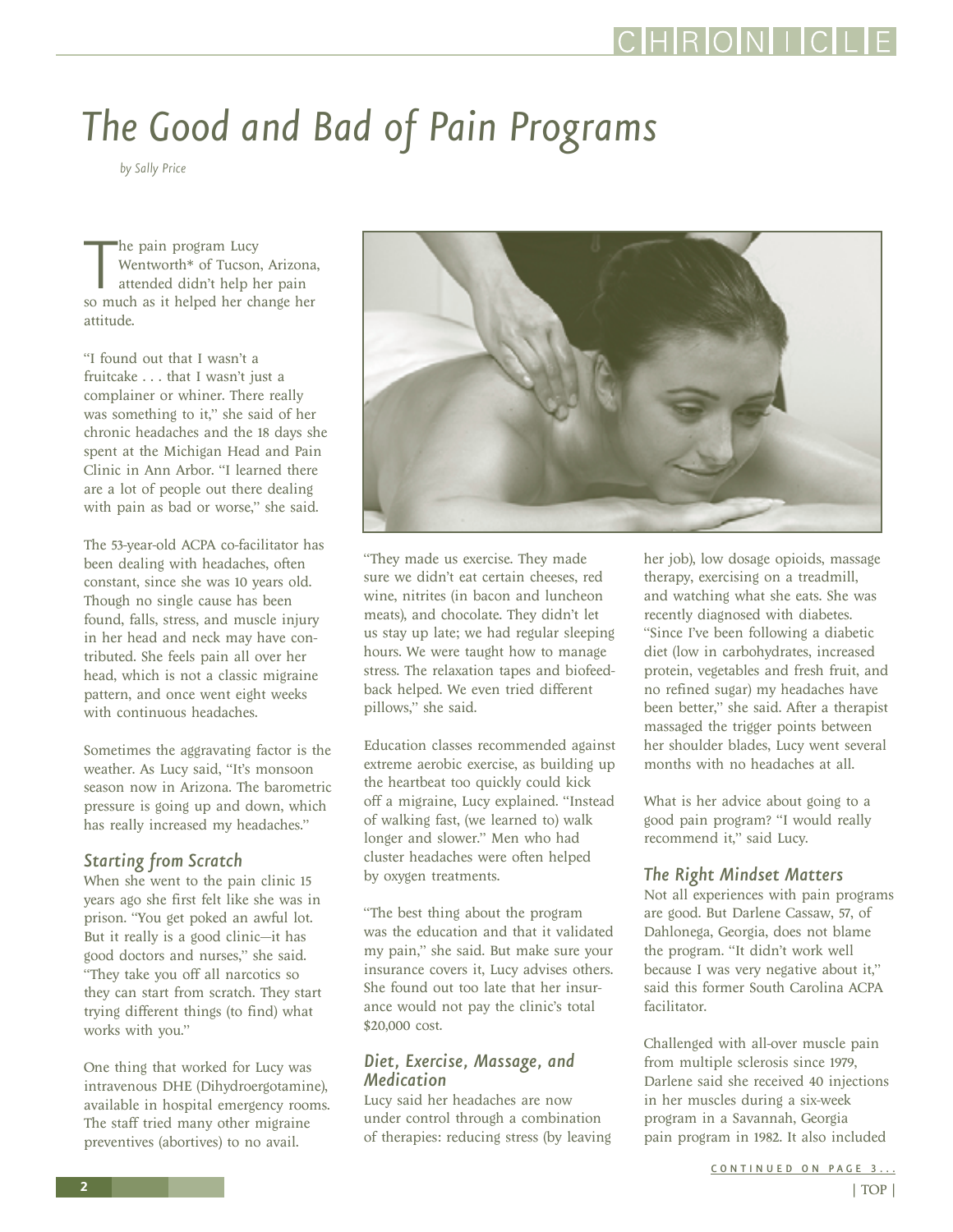# <span id="page-1-0"></span>*The Good and Bad of Pain Programs*

*by Sally Price*

The pain program Lucy<br>
Wentworth\* of Tucson, Arizona<br>
attended didn't help her pain<br>
so much as it helped her change her he pain program Lucy Wentworth\* of Tucson, Arizona, attended didn't help her pain attitude.

"I found out that I wasn't a fruitcake . . . that I wasn't just a complainer or whiner. There really was something to it," she said of her chronic headaches and the 18 days she spent at the Michigan Head and Pain Clinic in Ann Arbor. "I learned there are a lot of people out there dealing with pain as bad or worse," she said.

The 53-year-old ACPA co-facilitator has been dealing with headaches, often constant, since she was 10 years old. Though no single cause has been found, falls, stress, and muscle injury in her head and neck may have contributed. She feels pain all over her head, which is not a classic migraine pattern, and once went eight weeks with continuous headaches.

Sometimes the aggravating factor is the weather. As Lucy said, "It's monsoon season now in Arizona. The barometric pressure is going up and down, which has really increased my headaches."

#### *Starting from Scratch*

When she went to the pain clinic 15 years ago she first felt like she was in prison. "You get poked an awful lot. But it really is a good clinic—it has good doctors and nurses," she said. "They take you off all narcotics so they can start from scratch. They start trying different things (to find) what works with you."

One thing that worked for Lucy was intravenous DHE (Dihydroergotamine), available in hospital emergency rooms. The staff tried many other migraine preventives (abortives) to no avail.



"They made us exercise. They made sure we didn't eat certain cheeses, red wine, nitrites (in bacon and luncheon meats), and chocolate. They didn't let us stay up late; we had regular sleeping hours. We were taught how to manage stress. The relaxation tapes and biofeedback helped. We even tried different pillows," she said.

Education classes recommended against extreme aerobic exercise, as building up the heartbeat too quickly could kick off a migraine, Lucy explained. "Instead of walking fast, (we learned to) walk longer and slower." Men who had cluster headaches were often helped by oxygen treatments.

"The best thing about the program was the education and that it validated my pain," she said. But make sure your insurance covers it, Lucy advises others. She found out too late that her insurance would not pay the clinic's total \$20,000 cost.

#### *Diet, Exercise, Massage, and Medication*

Lucy said her headaches are now under control through a combination of therapies: reducing stress (by leaving

her job), low dosage opioids, massage therapy, exercising on a treadmill, and watching what she eats. She was recently diagnosed with diabetes. "Since I've been following a diabetic diet (low in carbohydrates, increased protein, vegetables and fresh fruit, and no refined sugar) my headaches have been better," she said. After a therapist massaged the trigger points between her shoulder blades, Lucy went several months with no headaches at all.

What is her advice about going to a good pain program? "I would really recommend it," said Lucy.

#### *The Right Mindset Matters*

Not all experiences with pain programs are good. But Darlene Cassaw, 57, of Dahlonega, Georgia, does not blame the program. "It didn't work well because I was very negative about it," said this former South Carolina ACPA facilitator.

Challenged with all-over muscle pain from multiple sclerosis since 1979, Darlene said she received 40 injections in her muscles during a six-week program in a Savannah, Georgia pain program in 1982. It also included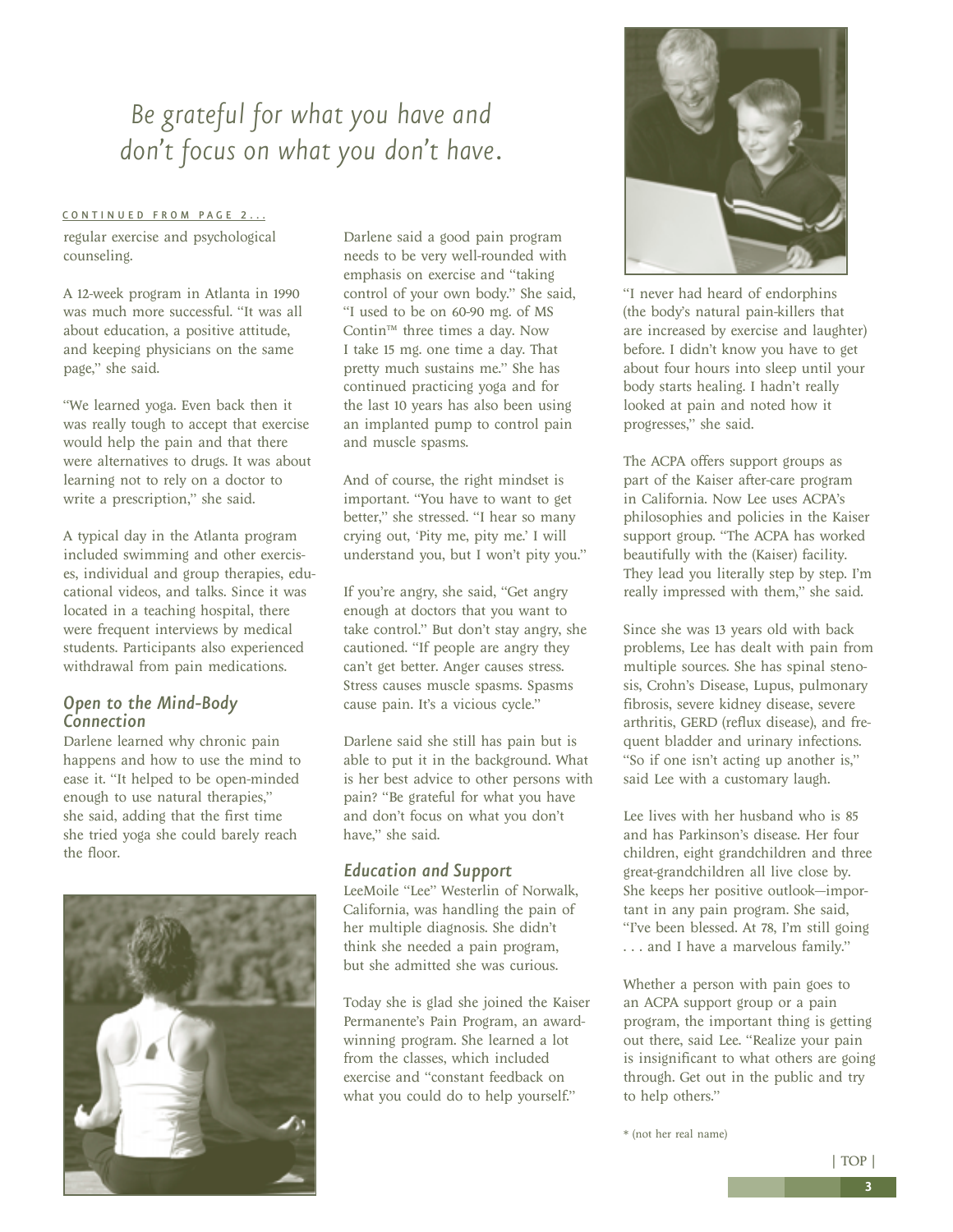### <span id="page-2-0"></span>*Be grateful for what you have and don't focus on what you don't have.*

#### [CONTINUED FROM PAGE 2...](#page-1-0)

regular exercise and psychological counseling.

A 12-week program in Atlanta in 1990 was much more successful. "It was all about education, a positive attitude, and keeping physicians on the same page," she said.

"We learned yoga. Even back then it was really tough to accept that exercise would help the pain and that there were alternatives to drugs. It was about learning not to rely on a doctor to write a prescription," she said.

A typical day in the Atlanta program included swimming and other exercises, individual and group therapies, educational videos, and talks. Since it was located in a teaching hospital, there were frequent interviews by medical students. Participants also experienced withdrawal from pain medications.

#### *Open to the Mind-Body Connection*

Darlene learned why chronic pain happens and how to use the mind to ease it. "It helped to be open-minded enough to use natural therapies," she said, adding that the first time she tried yoga she could barely reach the floor.



Darlene said a good pain program needs to be very well-rounded with emphasis on exercise and "taking control of your own body." She said, "I used to be on 60-90 mg. of MS Contin™ three times a day. Now I take 15 mg. one time a day. That pretty much sustains me." She has continued practicing yoga and for the last 10 years has also been using an implanted pump to control pain and muscle spasms.

And of course, the right mindset is important. "You have to want to get better," she stressed. "I hear so many crying out, 'Pity me, pity me.' I will understand you, but I won't pity you."

If you're angry, she said, "Get angry enough at doctors that you want to take control." But don't stay angry, she cautioned. "If people are angry they can't get better. Anger causes stress. Stress causes muscle spasms. Spasms cause pain. It's a vicious cycle."

Darlene said she still has pain but is able to put it in the background. What is her best advice to other persons with pain? "Be grateful for what you have and don't focus on what you don't have," she said.

#### *Education and Support*

LeeMoile "Lee" Westerlin of Norwalk, California, was handling the pain of her multiple diagnosis. She didn't think she needed a pain program, but she admitted she was curious.

Today she is glad she joined the Kaiser Permanente's Pain Program, an awardwinning program. She learned a lot from the classes, which included exercise and "constant feedback on what you could do to help yourself."



"I never had heard of endorphins (the body's natural pain-killers that are increased by exercise and laughter) before. I didn't know you have to get about four hours into sleep until your body starts healing. I hadn't really looked at pain and noted how it progresses," she said.

The ACPA offers support groups as part of the Kaiser after-care program in California. Now Lee uses ACPA's philosophies and policies in the Kaiser support group. "The ACPA has worked beautifully with the (Kaiser) facility. They lead you literally step by step. I'm really impressed with them," she said.

Since she was 13 years old with back problems, Lee has dealt with pain from multiple sources. She has spinal stenosis, Crohn's Disease, Lupus, pulmonary fibrosis, severe kidney disease, severe arthritis, GERD (reflux disease), and frequent bladder and urinary infections. "So if one isn't acting up another is," said Lee with a customary laugh.

Lee lives with her husband who is 85 and has Parkinson's disease. Her four children, eight grandchildren and three great-grandchildren all live close by. She keeps her positive outlook—important in any pain program. She said, "I've been blessed. At 78, I'm still going . . . and I have a marvelous family."

Whether a person with pain goes to an ACPA support group or a pain program, the important thing is getting out there, said Lee. "Realize your pain is insignificant to what others are going through. Get out in the public and try to help others."

\* (not her real name)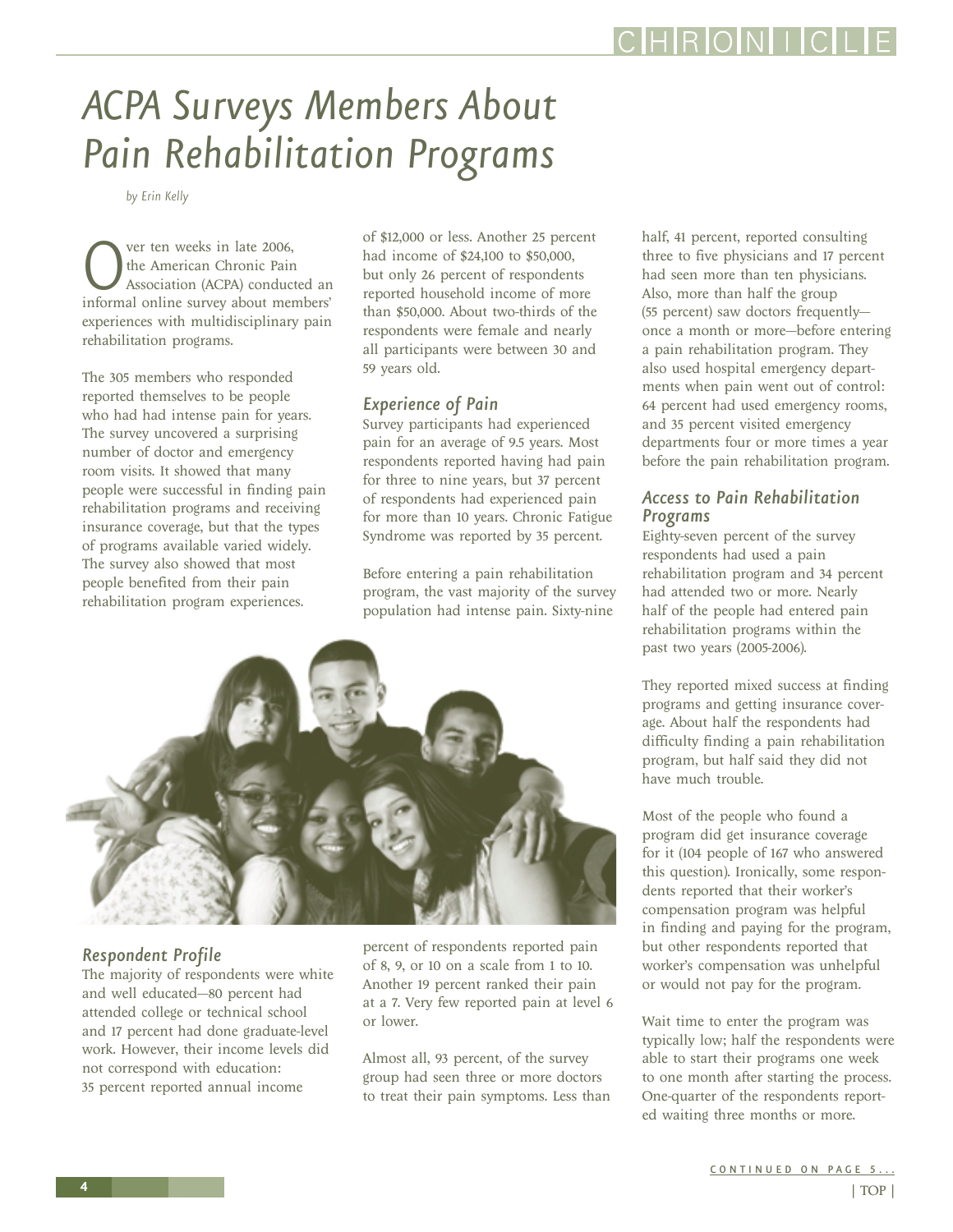## <span id="page-3-0"></span>*ACPA Surveys Members About Pain Rehabilitation Programs*

*by Erin Kelly*

Over ten weeks in late 2006,<br>
the American Chronic Pain<br>
informal online survey about members' the American Chronic Pain Association (ACPA) conducted an experiences with multidisciplinary pain rehabilitation programs.

The 305 members who responded reported themselves to be people who had had intense pain for years. The survey uncovered a surprising number of doctor and emergency room visits. It showed that many people were successful in finding pain rehabilitation programs and receiving insurance coverage, but that the types of programs available varied widely. The survey also showed that most people benefited from their pain rehabilitation program experiences.

of \$12,000 or less. Another 25 percent had income of \$24,100 to \$50,000, but only 26 percent of respondents reported household income of more than \$50,000. About two-thirds of the respondents were female and nearly all participants were between 30 and 59 years old.

#### *Experience of Pain*

Survey participants had experienced pain for an average of 9.5 years. Most respondents reported having had pain for three to nine years, but 37 percent of respondents had experienced pain for more than 10 years. Chronic Fatigue Syndrome was reported by 35 percent.

Before entering a pain rehabilitation program, the vast majority of the survey population had intense pain. Sixty-nine



#### *Respondent Profile*

The majority of respondents were white and well educated—80 percent had attended college or technical school and 17 percent had done graduate-level work. However, their income levels did not correspond with education: 35 percent reported annual income

percent of respondents reported pain of 8, 9, or 10 on a scale from 1 to 10. Another 19 percent ranked their pain at a 7. Very few reported pain at level 6 or lower.

Almost all, 93 percent, of the survey group had seen three or more doctors to treat their pain symptoms. Less than half, 41 percent, reported consulting three to five physicians and 17 percent had seen more than ten physicians. Also, more than half the group (55 percent) saw doctors frequently once a month or more—before entering a pain rehabilitation program. They also used hospital emergency departments when pain went out of control: 64 percent had used emergency rooms, and 35 percent visited emergency departments four or more times a year before the pain rehabilitation program.

#### *Access to Pain Rehabilitation Programs*

Eighty-seven percent of the survey respondents had used a pain rehabilitation program and 34 percent had attended two or more. Nearly half of the people had entered pain rehabilitation programs within the past two years (2005-2006).

They reported mixed success at finding programs and getting insurance coverage. About half the respondents had difficulty finding a pain rehabilitation program, but half said they did not have much trouble.

Most of the people who found a program did get insurance coverage for it (104 people of 167 who answered this question). Ironically, some respondents reported that their worker's compensation program was helpful in finding and paying for the program, but other respondents reported that worker's compensation was unhelpful or would not pay for the program.

Wait time to enter the program was typically low; half the respondents were able to start their programs one week to one month after starting the process. One-quarter of the respondents reported waiting three months or more.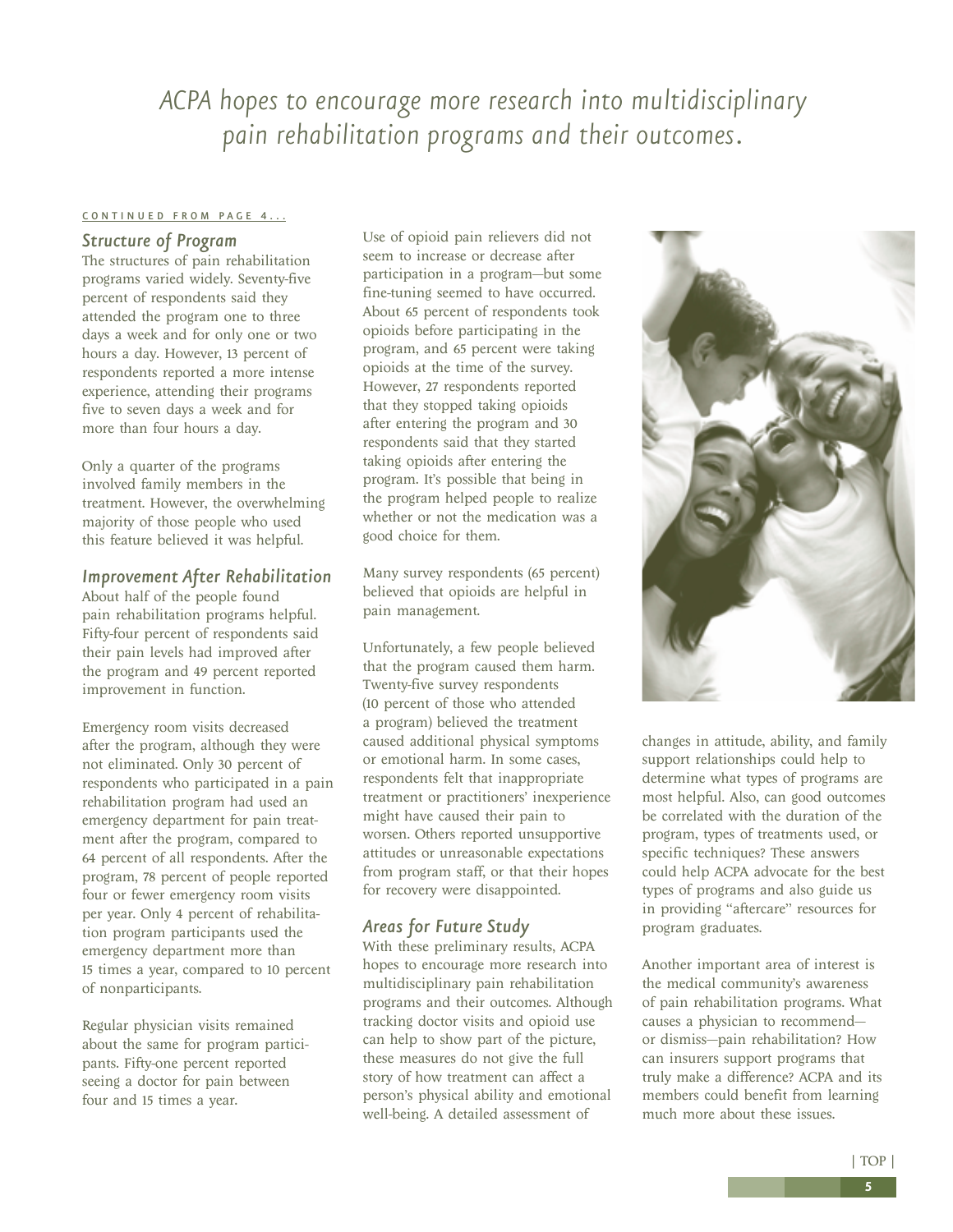### <span id="page-4-0"></span>*ACPA hopes to encourage more research into multidisciplinary pain rehabilitation programs and their outcomes.*

#### [CONTINUED FROM PAGE 4...](#page-3-0)

#### *Structure of Program*

The structures of pain rehabilitation programs varied widely. Seventy-five percent of respondents said they attended the program one to three days a week and for only one or two hours a day. However, 13 percent of respondents reported a more intense experience, attending their programs five to seven days a week and for more than four hours a day.

Only a quarter of the programs involved family members in the treatment. However, the overwhelming majority of those people who used this feature believed it was helpful.

#### *Improvement After Rehabilitation*

About half of the people found pain rehabilitation programs helpful. Fifty-four percent of respondents said their pain levels had improved after the program and 49 percent reported improvement in function.

Emergency room visits decreased after the program, although they were not eliminated. Only 30 percent of respondents who participated in a pain rehabilitation program had used an emergency department for pain treatment after the program, compared to 64 percent of all respondents. After the program, 78 percent of people reported four or fewer emergency room visits per year. Only 4 percent of rehabilitation program participants used the emergency department more than 15 times a year, compared to 10 percent of nonparticipants.

Regular physician visits remained about the same for program participants. Fifty-one percent reported seeing a doctor for pain between four and 15 times a year.

Use of opioid pain relievers did not seem to increase or decrease after participation in a program—but some fine-tuning seemed to have occurred. About 65 percent of respondents took opioids before participating in the program, and 65 percent were taking opioids at the time of the survey. However, 27 respondents reported that they stopped taking opioids after entering the program and 30 respondents said that they started taking opioids after entering the program. It's possible that being in the program helped people to realize whether or not the medication was a good choice for them.

Many survey respondents (65 percent) believed that opioids are helpful in pain management.

Unfortunately, a few people believed that the program caused them harm. Twenty-five survey respondents (10 percent of those who attended a program) believed the treatment caused additional physical symptoms or emotional harm. In some cases, respondents felt that inappropriate treatment or practitioners' inexperience might have caused their pain to worsen. Others reported unsupportive attitudes or unreasonable expectations from program staff, or that their hopes for recovery were disappointed.

#### *Areas for Future Study*

With these preliminary results, ACPA hopes to encourage more research into multidisciplinary pain rehabilitation programs and their outcomes. Although tracking doctor visits and opioid use can help to show part of the picture, these measures do not give the full story of how treatment can affect a person's physical ability and emotional well-being. A detailed assessment of



changes in attitude, ability, and family support relationships could help to determine what types of programs are most helpful. Also, can good outcomes be correlated with the duration of the program, types of treatments used, or specific techniques? These answers could help ACPA advocate for the best types of programs and also guide us in providing "aftercare" resources for program graduates.

Another important area of interest is the medical community's awareness of pain rehabilitation programs. What causes a physician to recommend or dismiss—pain rehabilitation? How can insurers support programs that truly make a difference? ACPA and its members could benefit from learning much more about these issues.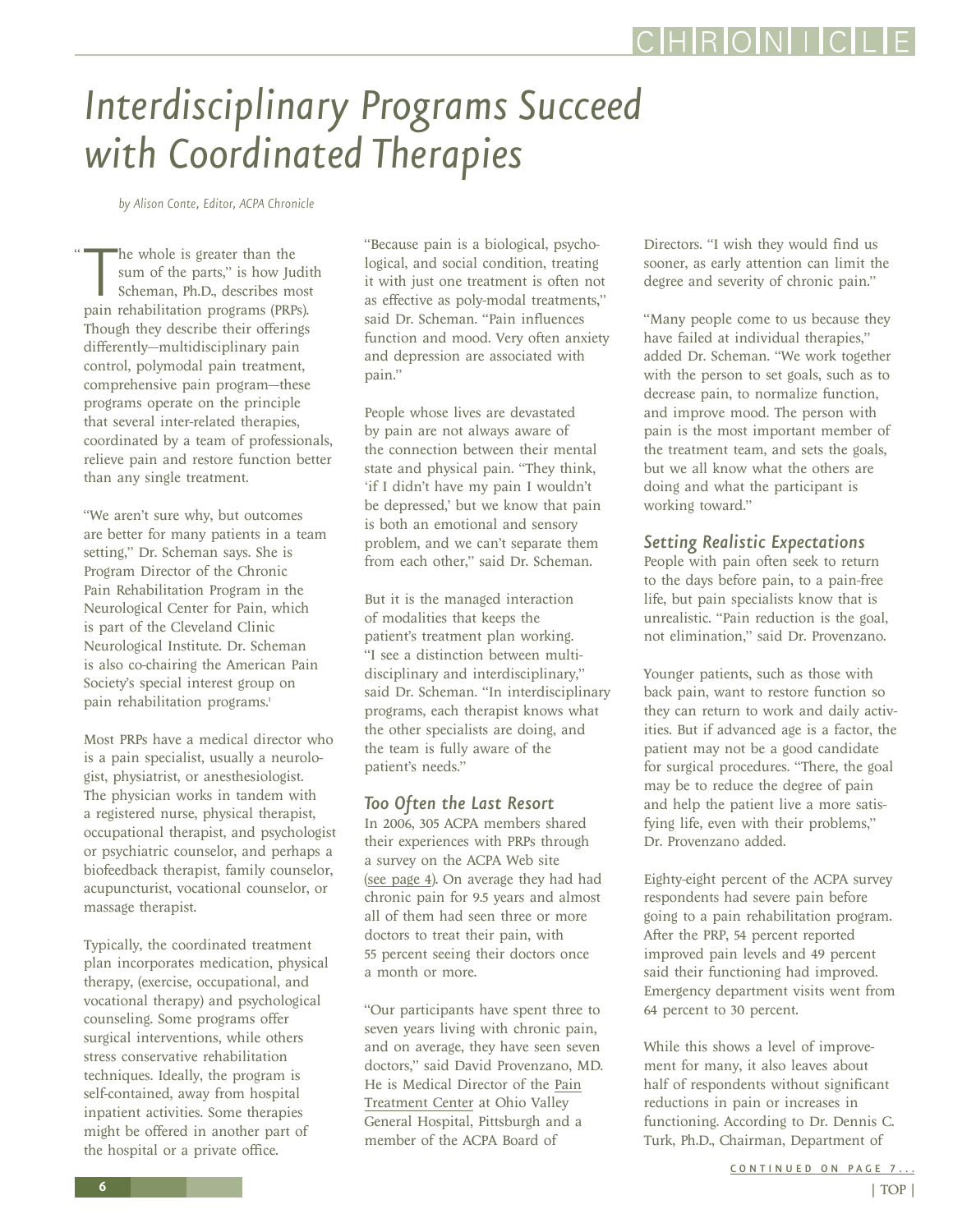# <span id="page-5-0"></span>*Interdisciplinary Programs Succeed with Coordinated Therapies*

*by Alison Conte, Editor, ACPA Chronicle*

"

The whole is greater than the<br>
sum of the parts," is how Judi<br>
Scheman, Ph.D., describes mos<br>
pain rehabilitation programs (PRPs). he whole is greater than the sum of the parts," is how Judith Scheman, Ph.D., describes most Though they describe their offerings differently—multidisciplinary pain control, polymodal pain treatment, comprehensive pain program—these programs operate on the principle that several inter-related therapies, coordinated by a team of professionals, relieve pain and restore function better than any single treatment.

"We aren't sure why, but outcomes are better for many patients in a team setting," Dr. Scheman says. She is Program Director of the Chronic Pain Rehabilitation Program in the Neurological Center for Pain, which is part of the Cleveland Clinic Neurological Institute. Dr. Scheman is also co-chairing the American Pain Society's special interest group on pain rehabilitation programs.<sup>1</sup>

Most PRPs have a medical director who is a pain specialist, usually a neurologist, physiatrist, or anesthesiologist. The physician works in tandem with a registered nurse, physical therapist, occupational therapist, and psychologist or psychiatric counselor, and perhaps a biofeedback therapist, family counselor, acupuncturist, vocational counselor, or massage therapist.

Typically, the coordinated treatment plan incorporates medication, physical therapy, (exercise, occupational, and vocational therapy) and psychological counseling. Some programs offer surgical interventions, while others stress conservative rehabilitation techniques. Ideally, the program is self-contained, away from hospital inpatient activities. Some therapies might be offered in another part of the hospital or a private office.

"Because pain is a biological, psychological, and social condition, treating it with just one treatment is often not as effective as poly-modal treatments," said Dr. Scheman. "Pain influences function and mood. Very often anxiety and depression are associated with pain."

People whose lives are devastated by pain are not always aware of the connection between their mental state and physical pain. "They think, 'if I didn't have my pain I wouldn't be depressed,' but we know that pain is both an emotional and sensory problem, and we can't separate them from each other," said Dr. Scheman.

But it is the managed interaction of modalities that keeps the patient's treatment plan working. "I see a distinction between multidisciplinary and interdisciplinary," said Dr. Scheman. "In interdisciplinary programs, each therapist knows what the other specialists are doing, and the team is fully aware of the patient's needs."

#### *Too Often the Last Resort*

In 2006, 305 ACPA members shared their experiences with PRPs through a survey on the ACPA Web site [\(see page 4\)](#page-3-0). On average they had had chronic pain for 9.5 years and almost all of them had seen three or more doctors to treat their pain, with 55 percent seeing their doctors once a month or more.

"Our participants have spent three to seven years living with chronic pain, and on average, they have seen seven doctors," said David Provenzano, MD. He is Medical Director of the [Pain](http://www.ohiovalleyhospital.org/pain) [Treatment Center](http://www.ohiovalleyhospital.org/pain) at Ohio Valley General Hospital, Pittsburgh and a member of the ACPA Board of

Directors. "I wish they would find us sooner, as early attention can limit the degree and severity of chronic pain."

"Many people come to us because they have failed at individual therapies," added Dr. Scheman. "We work together with the person to set goals, such as to decrease pain, to normalize function, and improve mood. The person with pain is the most important member of the treatment team, and sets the goals, but we all know what the others are doing and what the participant is working toward."

#### *Setting Realistic Expectations*

People with pain often seek to return to the days before pain, to a pain-free life, but pain specialists know that is unrealistic. "Pain reduction is the goal, not elimination," said Dr. Provenzano.

Younger patients, such as those with back pain, want to restore function so they can return to work and daily activities. But if advanced age is a factor, the patient may not be a good candidate for surgical procedures. "There, the goal may be to reduce the degree of pain and help the patient live a more satisfying life, even with their problems," Dr. Provenzano added.

Eighty-eight percent of the ACPA survey respondents had severe pain before going to a pain rehabilitation program. After the PRP, 54 percent reported improved pain levels and 49 percent said their functioning had improved. Emergency department visits went from 64 percent to 30 percent.

While this shows a level of improvement for many, it also leaves about half of respondents without significant reductions in pain or increases in functioning. According to Dr. Dennis C. Turk, Ph.D., Chairman, Department of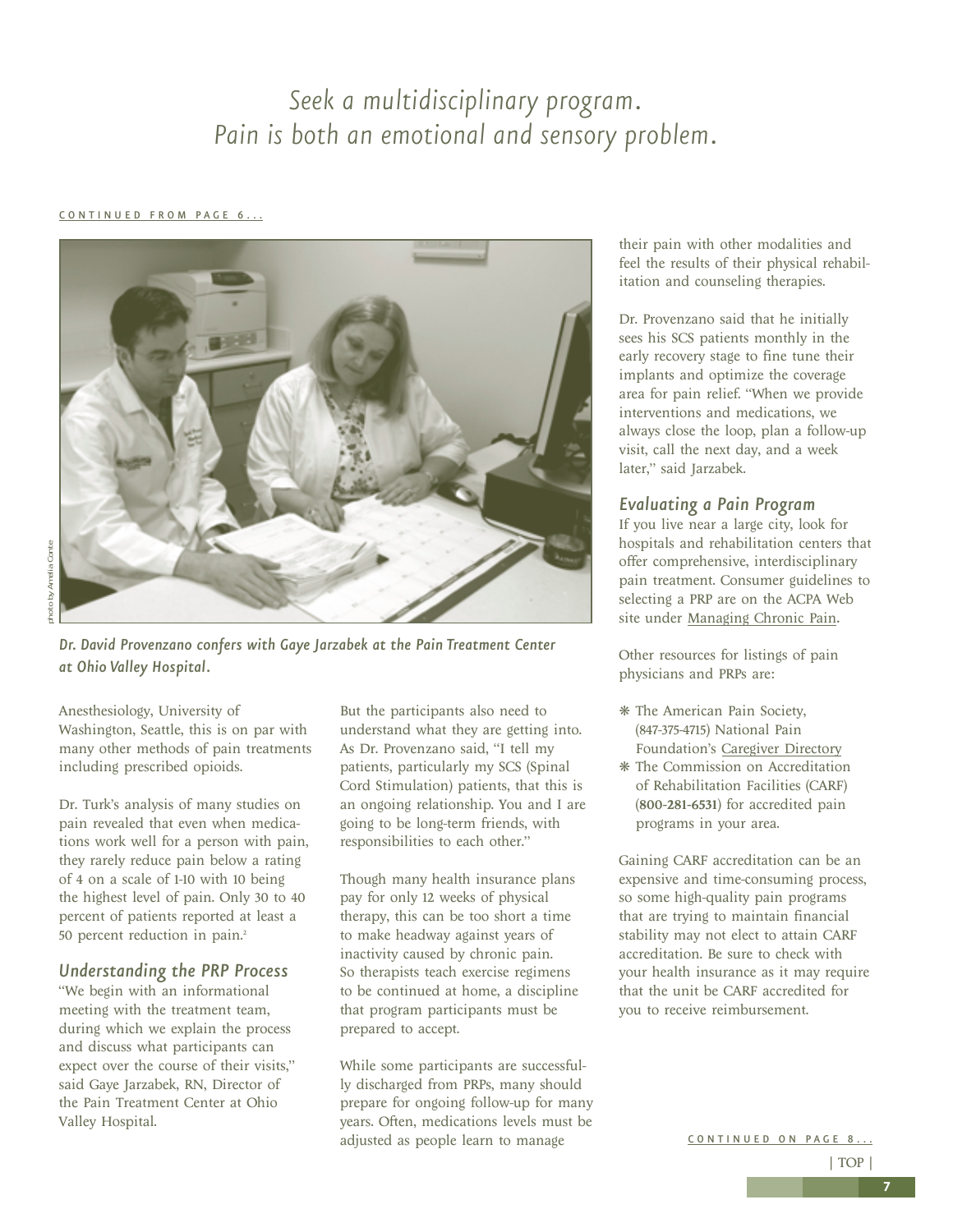### *Seek a multidisciplinary program. Pain is both an emotional and sensory problem.*

#### <span id="page-6-0"></span>[CONTINUED FROM PAGE 6...](#page-5-0)



*Dr. David Provenzano confers with Gaye Jarzabek at the Pain Treatment Center at Ohio Valley Hospital.*

Anesthesiology, University of Washington, Seattle, this is on par with many other methods of pain treatments including prescribed opioids.

Dr. Turk's analysis of many studies on pain revealed that even when medications work well for a person with pain, they rarely reduce pain below a rating of 4 on a scale of 1-10 with 10 being the highest level of pain. Only 30 to 40 percent of patients reported at least a 50 percent reduction in pain.2

#### *Understanding the PRP Process*

"We begin with an informational meeting with the treatment team, during which we explain the process and discuss what participants can expect over the course of their visits," said Gaye Jarzabek, RN, Director of the Pain Treatment Center at Ohio Valley Hospital.

But the participants also need to understand what they are getting into. As Dr. Provenzano said, "I tell my patients, particularly my SCS (Spinal Cord Stimulation) patients, that this is an ongoing relationship. You and I are going to be long-term friends, with responsibilities to each other."

Though many health insurance plans pay for only 12 weeks of physical therapy, this can be too short a time to make headway against years of inactivity caused by chronic pain. So therapists teach exercise regimens to be continued at home, a discipline that program participants must be prepared to accept.

While some participants are successfully discharged from PRPs, many should prepare for ongoing follow-up for many years. Often, medications levels must be adjusted as people learn to manage

their pain with other modalities and feel the results of their physical rehabilitation and counseling therapies.

Dr. Provenzano said that he initially sees his SCS patients monthly in the early recovery stage to fine tune their implants and optimize the coverage area for pain relief. "When we provide interventions and medications, we always close the loop, plan a follow-up visit, call the next day, and a week later," said Jarzabek.

#### *Evaluating a Pain Program*

If you live near a large city, look for hospitals and rehabilitation centers that offer comprehensive, interdisciplinary pain treatment. Consumer guidelines to selecting a PRP are on the ACPA Web site under [Managing Chronic Pain](http://www.theacpa.org/people/managing_chronic_pain.asp).

Other resources for listings of pain physicians and PRPs are:

- ❋ The American Pain Society, (847-375-4715) National Pain Foundation's [Caregiver Directory](www.nationalpainfoundation.org/)
- ❋ The Commission on Accreditation of Rehabilitation Facilities (CARF) (800-281-6531) for accredited pain programs in your area.

Gaining CARF accreditation can be an expensive and time-consuming process, so some high-quality pain programs that are trying to maintain financial stability may not elect to attain CARF accreditation. Be sure to check with your health insurance as it may require that the unit be CARF accredited for you to receive reimbursement.

CONTINUED ON PAGE 8...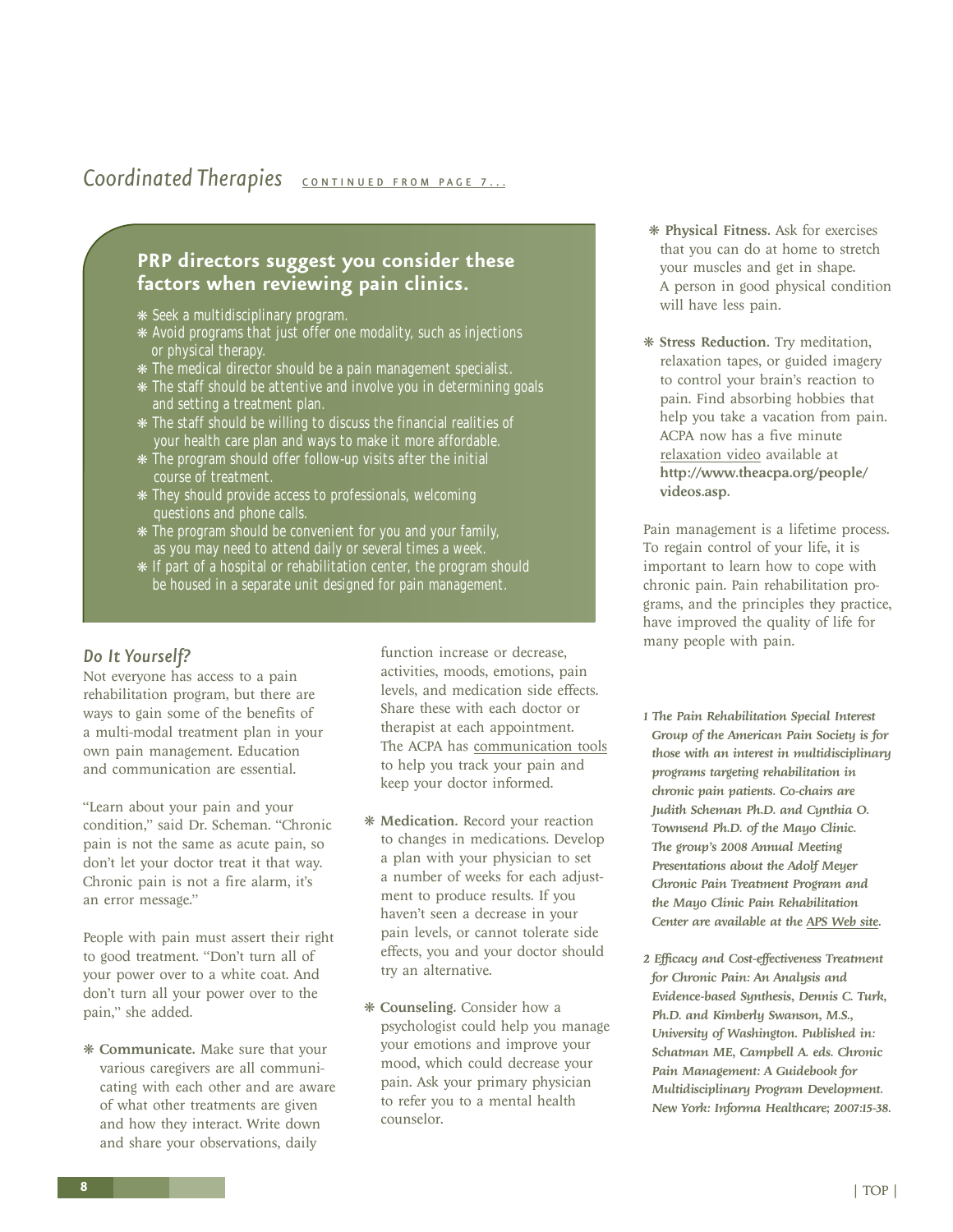### <span id="page-7-0"></span>**Coordinated Therapies [CONTINUED FROM PAGE 7...](#page-6-0)**

#### **PRP directors suggest you consider these factors when reviewing pain clinics.**

- ❋ Seek a multidisciplinary program.
- ❋ Avoid programs that just offer one modality, such as injections or physical therapy.
- ❋ The medical director should be a pain management specialist.
- ❋ The staff should be attentive and involve you in determining goals and setting a treatment plan.
- ❋ The staff should be willing to discuss the financial realities of your health care plan and ways to make it more affordable.
- ❋ The program should offer follow-up visits after the initial course of treatment.
- ❋ They should provide access to professionals, welcoming questions and phone calls.
- ❋ The program should be convenient for you and your family, as you may need to attend daily or several times a week
- ❋ If part of a hospital or rehabilitation center, the program should be housed in a separate unit designed for pain management.

#### *Do It Yourself?*

Not everyone has access to a pain rehabilitation program, but there are ways to gain some of the benefits of a multi-modal treatment plan in your own pain management. Education and communication are essential.

"Learn about your pain and your condition," said Dr. Scheman. "Chronic pain is not the same as acute pain, so don't let your doctor treat it that way. Chronic pain is not a fire alarm, it's an error message."

People with pain must assert their right to good treatment. "Don't turn all of your power over to a white coat. And don't turn all your power over to the pain," she added.

❋ Communicate. Make sure that your various caregivers are all communicating with each other and are aware of what other treatments are given and how they interact. Write down and share your observations, daily

function increase or decrease, activities, moods, emotions, pain levels, and medication side effects. Share these with each doctor or therapist at each appointment. The ACPA has [communication tools](www.theacpa.org/people/tools.asp) to help you track your pain and keep your doctor informed.

- ❋ Medication. Record your reaction to changes in medications. Develop a plan with your physician to set a number of weeks for each adjustment to produce results. If you haven't seen a decrease in your pain levels, or cannot tolerate side effects, you and your doctor should try an alternative.
- ❋ Counseling. Consider how a psychologist could help you manage your emotions and improve your mood, which could decrease your pain. Ask your primary physician to refer you to a mental health counselor.
- ❋ Physical Fitness. Ask for exercises that you can do at home to stretch your muscles and get in shape. A person in good physical condition will have less pain.
- ❋ Stress Reduction. Try meditation, relaxation tapes, or guided imagery to control your brain's reaction to pain. Find absorbing hobbies that help you take a vacation from pain. ACPA now has a five minute [relaxation video](http://www.theacpa.org/people/) available at http://www.theacpa.org/people/ videos.asp.

Pain management is a lifetime process. To regain control of your life, it is important to learn how to cope with chronic pain. Pain rehabilitation programs, and the principles they practice, have improved the quality of life for many people with pain.

- *1 The Pain Rehabilitation Special Interest Group of the American Pain Society is for those with an interest in multidisciplinary programs targeting rehabilitation in chronic pain patients. Co-chairs are Judith Scheman Ph.D. and Cynthia O. Townsend Ph.D. of the Mayo Clinic. The group's 2008 Annual Meeting Presentations about the Adolf Meyer Chronic Pain Treatment Program and the Mayo Clinic Pain Rehabilitation Center are available at the [APS Web site.](http://www.ampainsoc.org/member/sigsites/painrehab-sig.htm)*
- *2 Efficacy and Cost-effectiveness Treatment for Chronic Pain: An Analysis and Evidence-based Synthesis, Dennis C. Turk, Ph.D. and Kimberly Swanson, M.S., University of Washington. Published in: Schatman ME, Campbell A. eds. Chronic Pain Management: A Guidebook for Multidisciplinary Program Development. New York: Informa Healthcare; 2007:15-38.*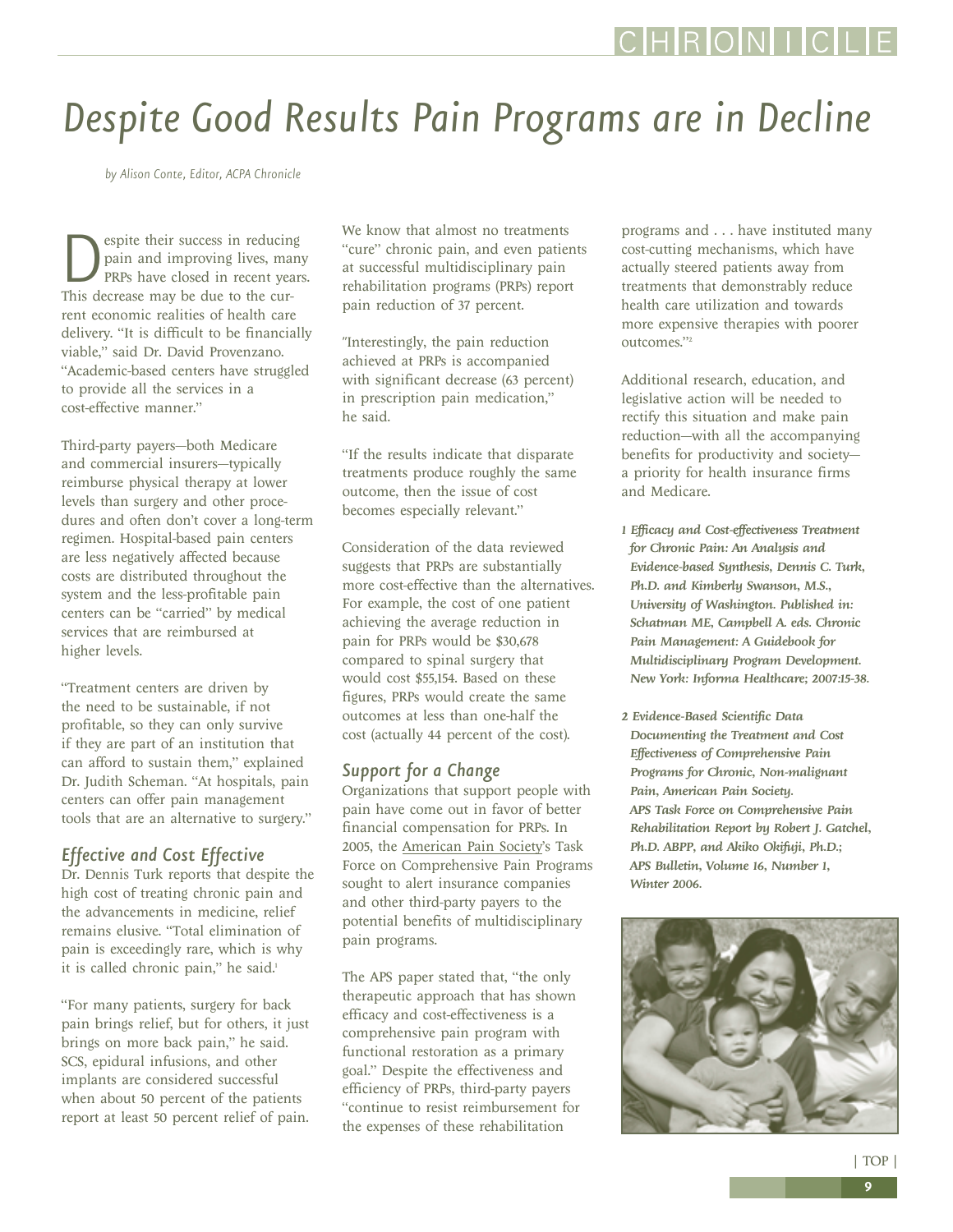## <span id="page-8-0"></span>*Despite Good Results Pain Programs are in Decline*

*by Alison Conte, Editor, ACPA Chronicle*

**D**espite their success in reducing<br>pain and improving lives, man<br>pRPs have closed in recent year<br>This decrease may be due to the curpain and improving lives, many PRPs have closed in recent years. This decrease may be due to the current economic realities of health care delivery. "It is difficult to be financially viable," said Dr. David Provenzano. "Academic-based centers have struggled to provide all the services in a cost-effective manner."

Third-party payers—both Medicare and commercial insurers—typically reimburse physical therapy at lower levels than surgery and other procedures and often don't cover a long-term regimen. Hospital-based pain centers are less negatively affected because costs are distributed throughout the system and the less-profitable pain centers can be "carried" by medical services that are reimbursed at higher levels.

"Treatment centers are driven by the need to be sustainable, if not profitable, so they can only survive if they are part of an institution that can afford to sustain them," explained Dr. Judith Scheman. "At hospitals, pain centers can offer pain management tools that are an alternative to surgery."

#### *Effective and Cost Effective*

Dr. Dennis Turk reports that despite the high cost of treating chronic pain and the advancements in medicine, relief remains elusive. "Total elimination of pain is exceedingly rare, which is why it is called chronic pain," he said.<sup>1</sup>

"For many patients, surgery for back pain brings relief, but for others, it just brings on more back pain," he said. SCS, epidural infusions, and other implants are considered successful when about 50 percent of the patients report at least 50 percent relief of pain. We know that almost no treatments "cure" chronic pain, and even patients at successful multidisciplinary pain rehabilitation programs (PRPs) report pain reduction of 37 percent.

"Interestingly, the pain reduction achieved at PRPs is accompanied with significant decrease (63 percent) in prescription pain medication," he said.

"If the results indicate that disparate treatments produce roughly the same outcome, then the issue of cost becomes especially relevant."

Consideration of the data reviewed suggests that PRPs are substantially more cost-effective than the alternatives. For example, the cost of one patient achieving the average reduction in pain for PRPs would be \$30,678 compared to spinal surgery that would cost \$55,154. Based on these figures, PRPs would create the same outcomes at less than one-half the cost (actually 44 percent of the cost).

#### *Support for a Change*

Organizations that support people with pain have come out in favor of better financial compensation for PRPs. In 2005, the [American Pain Society'](http://www.ampainsoc.org)s Task Force on Comprehensive Pain Programs sought to alert insurance companies and other third-party payers to the potential benefits of multidisciplinary pain programs.

The APS paper stated that, "the only therapeutic approach that has shown efficacy and cost-effectiveness is a comprehensive pain program with functional restoration as a primary goal." Despite the effectiveness and efficiency of PRPs, third-party payers "continue to resist reimbursement for the expenses of these rehabilitation

programs and . . . have instituted many cost-cutting mechanisms, which have actually steered patients away from treatments that demonstrably reduce health care utilization and towards more expensive therapies with poorer outcomes."2

Additional research, education, and legislative action will be needed to rectify this situation and make pain reduction—with all the accompanying benefits for productivity and society a priority for health insurance firms and Medicare.

- *1 Efficacy and Cost-effectiveness Treatment for Chronic Pain: An Analysis and Evidence-based Synthesis, Dennis C. Turk, Ph.D. and Kimberly Swanson, M.S., University of Washington. Published in: Schatman ME, Campbell A. eds. Chronic Pain Management: A Guidebook for Multidisciplinary Program Development. New York: Informa Healthcare; 2007:15-38.*
- *2 Evidence-Based Scientific Data Documenting the Treatment and Cost Effectiveness of Comprehensive Pain Programs for Chronic, Non-malignant Pain, American Pain Society. APS Task Force on Comprehensive Pain Rehabilitation Report by Robert J. Gatchel, Ph.D. ABPP, and Akiko Okifuji, Ph.D.; APS Bulletin, Volume 16, Number 1, Winter 2006.*

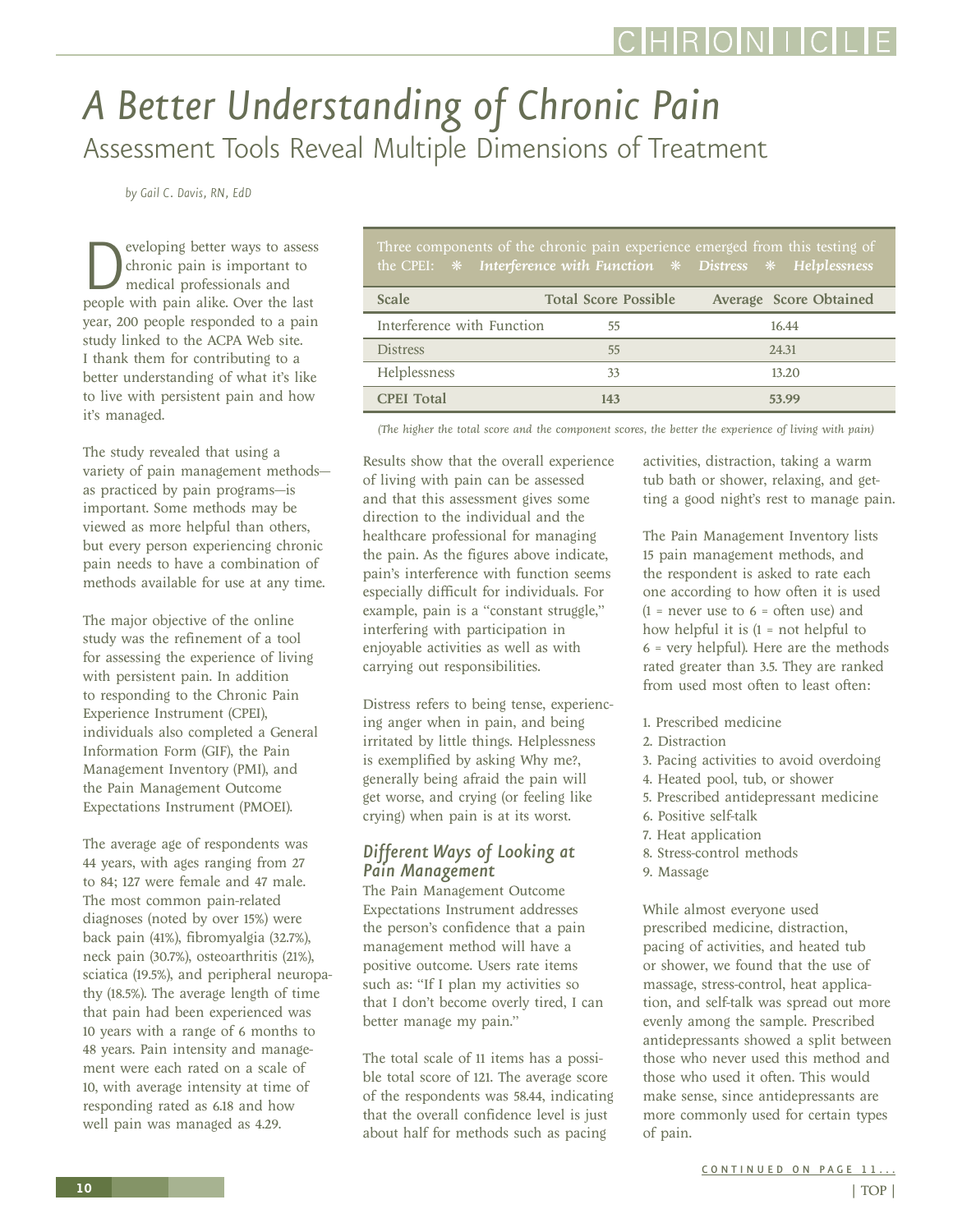### <span id="page-9-0"></span>*A Better Understanding of Chronic Pain*  Assessment Tools Reveal Multiple Dimensions of Treatment

*by Gail C. Davis, RN, EdD*

**D**eveloping better ways to assess<br>chronic pain is important to<br>medical professionals and<br>people with pain alike. Over the last chronic pain is important to medical professionals and year, 200 people responded to a pain study linked to the ACPA Web site. I thank them for contributing to a better understanding of what it's like to live with persistent pain and how it's managed.

The study revealed that using a variety of pain management methods as practiced by pain programs—is important. Some methods may be viewed as more helpful than others, but every person experiencing chronic pain needs to have a combination of methods available for use at any time.

The major objective of the online study was the refinement of a tool for assessing the experience of living with persistent pain. In addition to responding to the Chronic Pain Experience Instrument (CPEI), individuals also completed a General Information Form (GIF), the Pain Management Inventory (PMI), and the Pain Management Outcome Expectations Instrument (PMOEI).

The average age of respondents was 44 years, with ages ranging from 27 to 84; 127 were female and 47 male. The most common pain-related diagnoses (noted by over 15%) were back pain (41%), fibromyalgia (32.7%), neck pain (30.7%), osteoarthritis (21%), sciatica (19.5%), and peripheral neuropathy (18.5%). The average length of time that pain had been experienced was 10 years with a range of 6 months to 48 years. Pain intensity and management were each rated on a scale of 10, with average intensity at time of responding rated as 6.18 and how well pain was managed as 4.29.

| Three components of the chronic pain experience emerged from this testing of<br>the CPEI: $*$ Interference with Function $*$ Distress $*$ Helplessness |                             |                        |
|--------------------------------------------------------------------------------------------------------------------------------------------------------|-----------------------------|------------------------|
| <b>Scale</b>                                                                                                                                           | <b>Total Score Possible</b> | Average Score Obtained |
| Interference with Function                                                                                                                             | 55                          | 16.44                  |
| <b>Distress</b>                                                                                                                                        | 55                          | 24.31                  |
| Helplessness                                                                                                                                           | 33                          | 13.20                  |
| <b>CPEI</b> Total                                                                                                                                      | 143                         | 53.99                  |

*(The higher the total score and the component scores, the better the experience of living with pain)*

Results show that the overall experience of living with pain can be assessed and that this assessment gives some direction to the individual and the healthcare professional for managing the pain. As the figures above indicate, pain's interference with function seems especially difficult for individuals. For example, pain is a "constant struggle," interfering with participation in enjoyable activities as well as with carrying out responsibilities.

Distress refers to being tense, experiencing anger when in pain, and being irritated by little things. Helplessness is exemplified by asking Why me?, generally being afraid the pain will get worse, and crying (or feeling like crying) when pain is at its worst.

#### *Different Ways of Looking at Pain Management*

The Pain Management Outcome Expectations Instrument addresses the person's confidence that a pain management method will have a positive outcome. Users rate items such as: "If I plan my activities so that I don't become overly tired, I can better manage my pain."

The total scale of 11 items has a possible total score of 121. The average score of the respondents was 58.44, indicating that the overall confidence level is just about half for methods such as pacing

activities, distraction, taking a warm tub bath or shower, relaxing, and getting a good night's rest to manage pain.

The Pain Management Inventory lists 15 pain management methods, and the respondent is asked to rate each one according to how often it is used  $(1$  = never use to 6 = often use) and how helpful it is  $(1 = not helpful to$ 6 = very helpful). Here are the methods rated greater than 3.5. They are ranked from used most often to least often:

- 1. Prescribed medicine
- 2. Distraction
- 3. Pacing activities to avoid overdoing
- 4. Heated pool, tub, or shower
- 5. Prescribed antidepressant medicine
- 6. Positive self-talk
- 7. Heat application
- 8. Stress-control methods
- 9. Massage

While almost everyone used prescribed medicine, distraction, pacing of activities, and heated tub or shower, we found that the use of massage, stress-control, heat application, and self-talk was spread out more evenly among the sample. Prescribed antidepressants showed a split between those who never used this method and those who used it often. This would make sense, since antidepressants are more commonly used for certain types of pain.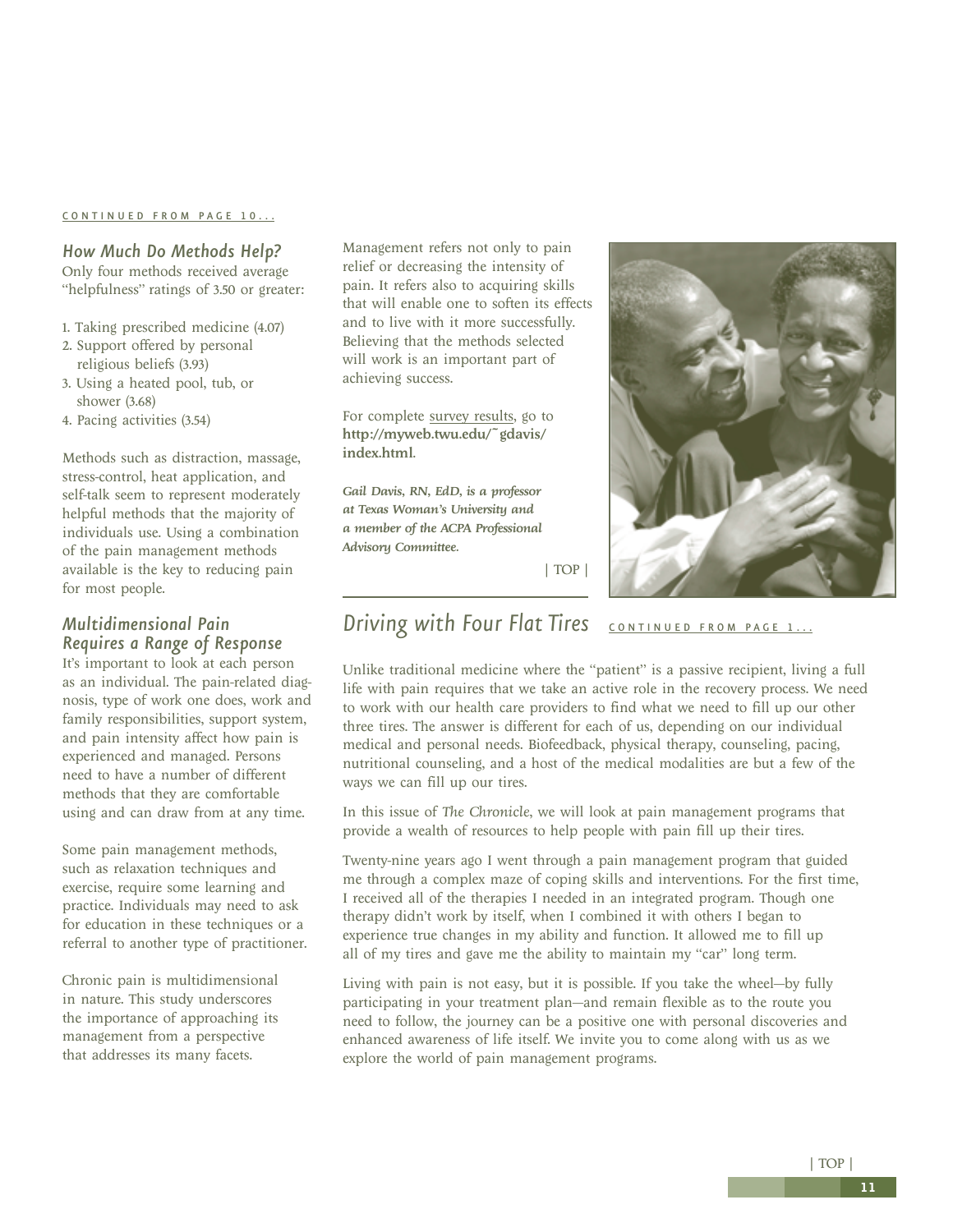#### <span id="page-10-0"></span>[CONTINUED FROM PAGE 10...](#page-9-0)

#### *How Much Do Methods Help?*

Only four methods received average "helpfulness" ratings of 3.50 or greater:

- 1. Taking prescribed medicine (4.07)
- 2. Support offered by personal religious beliefs (3.93)
- 3. Using a heated pool, tub, or shower (3.68)
- 4. Pacing activities (3.54)

Methods such as distraction, massage, stress-control, heat application, and self-talk seem to represent moderately helpful methods that the majority of individuals use. Using a combination of the pain management methods available is the key to reducing pain for most people.

#### *Multidimensional Pain Requires a Range of Response*

It's important to look at each person as an individual. The pain-related diagnosis, type of work one does, work and family responsibilities, support system, and pain intensity affect how pain is experienced and managed. Persons need to have a number of different methods that they are comfortable using and can draw from at any time.

Some pain management methods, such as relaxation techniques and exercise, require some learning and practice. Individuals may need to ask for education in these techniques or a referral to another type of practitioner.

Chronic pain is multidimensional in nature. This study underscores the importance of approaching its management from a perspective that addresses its many facets.

Management refers not only to pain relief or decreasing the intensity of pain. It refers also to acquiring skills that will enable one to soften its effects and to live with it more successfully. Believing that the methods selected will work is an important part of achieving success.

For complete survey results, go to http://myweb.twu.edu/~gdavis/ index.html.

*Gail Davis, RN, EdD, is a professor at Texas Woman's University and a member of the ACPA Professional Advisory Committee.*



[| TOP |](#page-0-0)

### **Driving with Four Flat Tires [CONTINUED FROM PAGE 1...](#page-0-0)**

Unlike traditional medicine where the "patient" is a passive recipient, living a full life with pain requires that we take an active role in the recovery process. We need to work with our health care providers to find what we need to fill up our other three tires. The answer is different for each of us, depending on our individual medical and personal needs. Biofeedback, physical therapy, counseling, pacing, nutritional counseling, and a host of the medical modalities are but a few of the ways we can fill up our tires.

In this issue of *The Chronicle*, we will look at pain management programs that provide a wealth of resources to help people with pain fill up their tires.

Twenty-nine years ago I went through a pain management program that guided me through a complex maze of coping skills and interventions. For the first time, I received all of the therapies I needed in an integrated program. Though one therapy didn't work by itself, when I combined it with others I began to experience true changes in my ability and function. It allowed me to fill up all of my tires and gave me the ability to maintain my "car" long term.

Living with pain is not easy, but it is possible. If you take the wheel—by fully participating in your treatment plan—and remain flexible as to the route you need to follow, the journey can be a positive one with personal discoveries and enhanced awareness of life itself. We invite you to come along with us as we explore the world of pain management programs.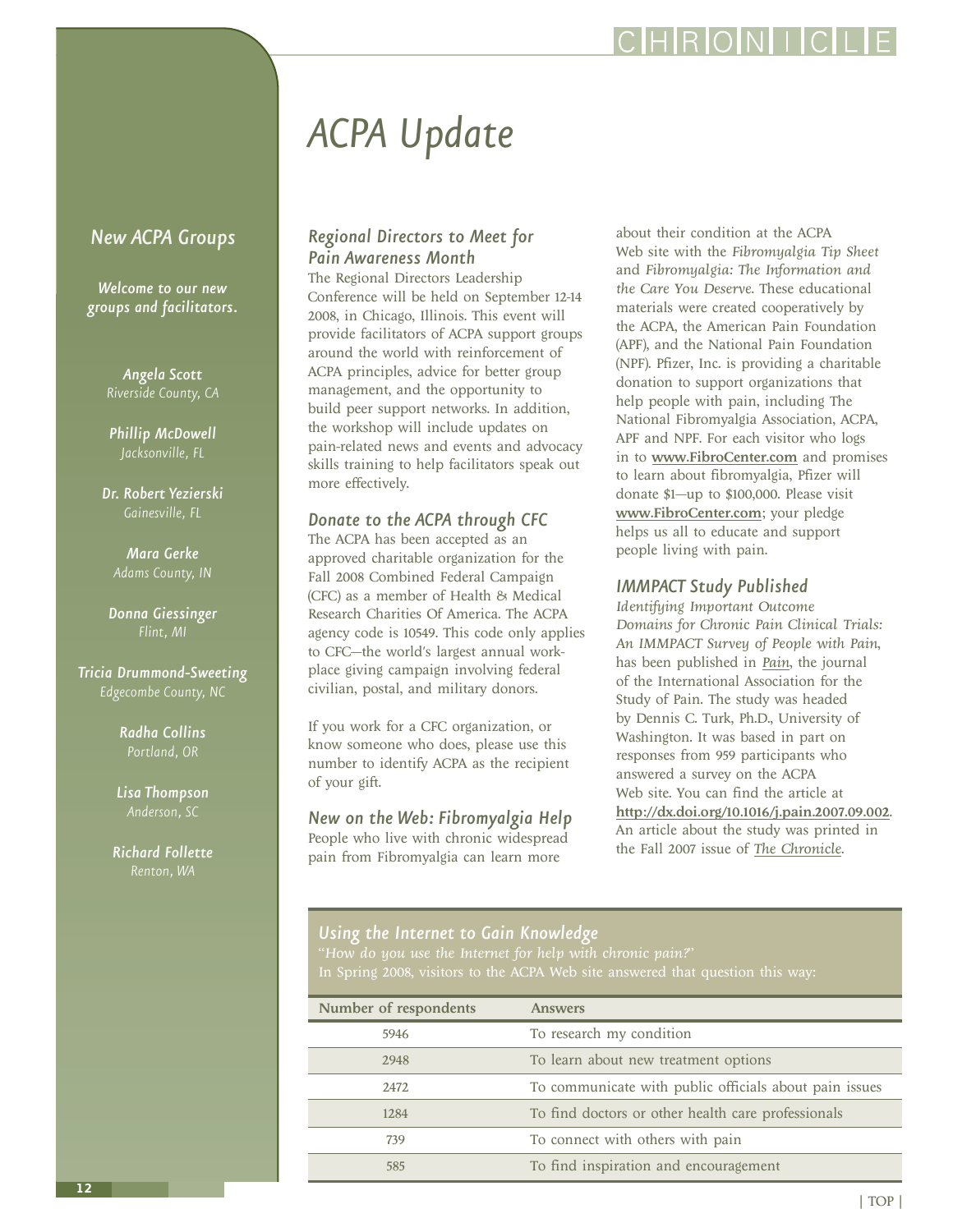### IRIOINI I

# *ACPA Update*

#### <span id="page-11-0"></span>*New ACPA Groups*

*Welcome to our new groups and facilitators.*

*Angela Scott*

*Phillip McDowell Jacksonville, FL*

*Dr. Robert Yezierski Gainesville, FL*

*Mara Gerke*

*Donna Giessinger*

*Tricia Drummond-Sweeting Edgecombe County, NC*

> *Radha Collins Portland, OR*

*Lisa Thompson*

*Richard Follette*

#### *Regional Directors to Meet for Pain Awareness Month*

The Regional Directors Leadership Conference will be held on September 12-14 2008, in Chicago, Illinois. This event will provide facilitators of ACPA support groups around the world with reinforcement of ACPA principles, advice for better group management, and the opportunity to build peer support networks. In addition, the workshop will include updates on pain-related news and events and advocacy skills training to help facilitators speak out more effectively.

#### *Donate to the ACPA through CFC*

The ACPA has been accepted as an approved charitable organization for the Fall 2008 Combined Federal Campaign (CFC) as a member of Health & Medical Research Charities Of America. The ACPA agency code is 10549. This code only applies to CFC—the world's largest annual workplace giving campaign involving federal civilian, postal, and military donors.

If you work for a CFC organization, or know someone who does, please use this number to identify ACPA as the recipient of your gift.

*New on the Web: Fibromyalgia Help* People who live with chronic widespread pain from Fibromyalgia can learn more

about their condition at the ACPA Web site with the *Fibromyalgia Tip Sheet* and *Fibromyalgia: The Information and the Care You Deserve*. These educational materials were created cooperatively by the ACPA, the American Pain Foundation (APF), and the National Pain Foundation (NPF). Pfizer, Inc. is providing a charitable donation to support organizations that help people with pain, including The National Fibromyalgia Association, ACPA, APF and NPF. For each visitor who logs in to <www.FibroCenter.com> and promises to learn about fibromyalgia, Pfizer will donate \$1—up to \$100,000. Please visit <www.FibroCenter.com>; your pledge helps us all to educate and support people living with pain.

#### *IMMPACT Study Published*

*Identifying Important Outcome Domains for Chronic Pain Clinical Trials: An IMMPACT Survey of People with Pain*, has been published in *[Pain](http://www.iasp-pain.org/AM/Template.cfm?Section=Publications&Template=/CM/HTMLDisplay.cfm&ContentID=1693)*, the journal of the International Association for the Study of Pain. The study was headed by Dennis C. Turk, Ph.D., University of Washington. It was based in part on responses from 959 participants who answered a survey on the ACPA Web site. You can find the article at <http://dx.doi.org/10.1016/j.pain.2007.09.002>. An article about the study was printed in the Fall 2007 issue of *[The Chronicle](http://www.theacpa.org/members/chronicle.asp)*.

### *Using the Internet to Gain Knowledge*

"*How do you use the Internet for help with chronic pain?*"

| Number of respondents | <b>Answers</b>                                         |  |
|-----------------------|--------------------------------------------------------|--|
| 5946                  | To research my condition                               |  |
| 2948                  | To learn about new treatment options                   |  |
| 2472                  | To communicate with public officials about pain issues |  |
| 1284                  | To find doctors or other health care professionals     |  |
| 739                   | To connect with others with pain                       |  |
| 585                   | To find inspiration and encouragement                  |  |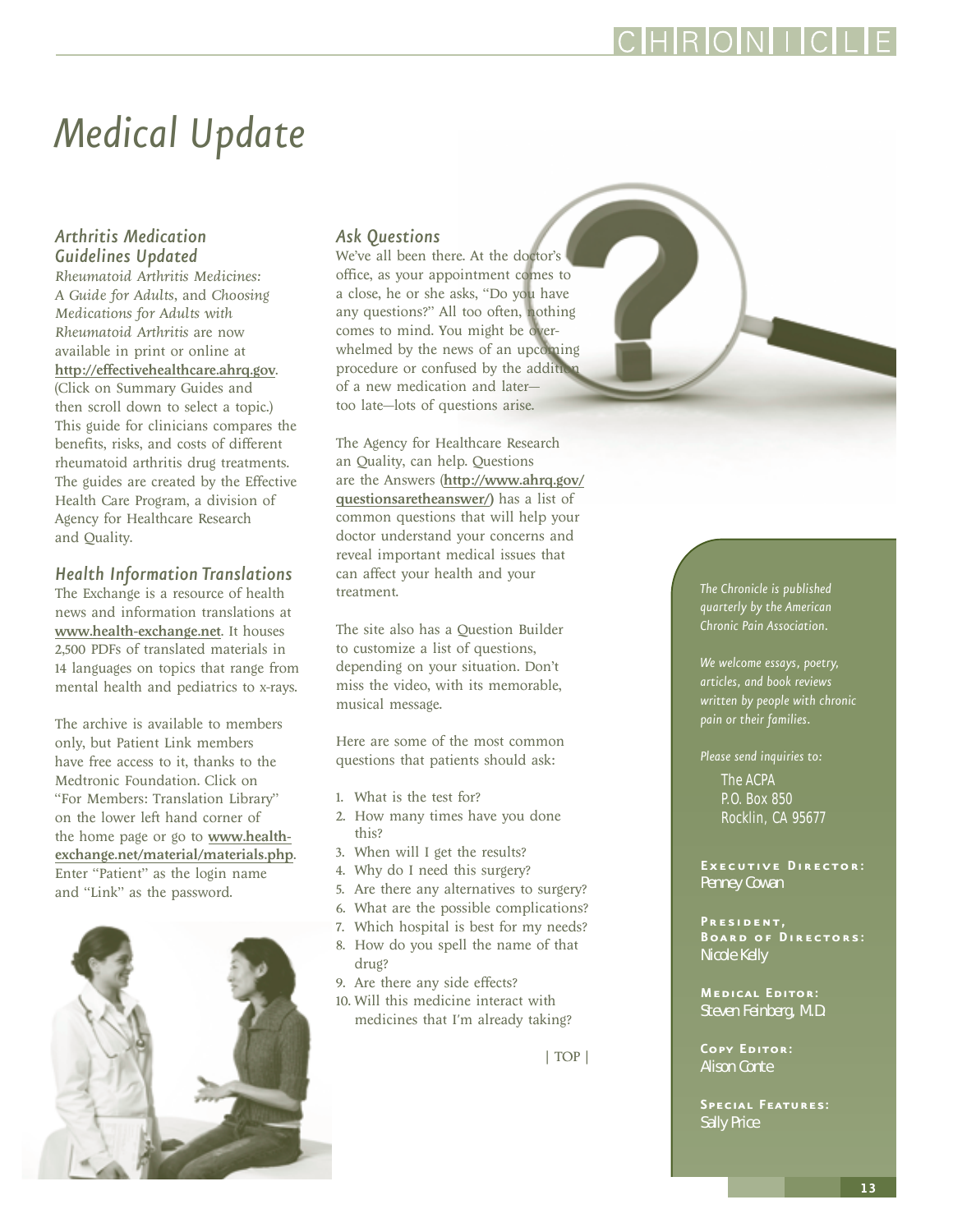<span id="page-12-0"></span>*Medical Update*

#### *Arthritis Medication Guidelines Updated*

*Rheumatoid Arthritis Medicines: A Guide for Adults,* and *Choosing Medications for Adults with Rheumatoid Arthritis* are now available in print or online at http://effectivehealthcare.ahrq.gov. (Click on Summary Guides and then scroll down to select a topic.) This guide for clinicians compares the benefits, risks, and costs of different rheumatoid arthritis drug treatments. The guides are created by the Effective Health Care Program, a division of Agency for Healthcare Research and Quality.

#### *Health Information Translations*

The Exchange is a resource of health news and information translations at www.health-exchange.net. It houses 2,500 PDFs of translated materials in 14 languages on topics that range from mental health and pediatrics to x-rays.

The archive is available to members only, but Patient Link members have free access to it, thanks to the Medtronic Foundation. Click on "For Members: Translation Library" on the lower left hand corner of the home page or go to www.healthexchange.net/material/materials.php. Enter "Patient" as the login name and "Link" as the password.



#### *Ask Questions*

We've all been there. At the doctor's office, as your appointment comes to a close, he or she asks, "Do you have any questions?" All too often, nothing comes to mind. You might be overwhelmed by the news of an upcoming procedure or confused by the addition of a new medication and later too late—lots of questions arise.

The Agency for Healthcare Research an Quality, can help. Questions are the Answers (http://www.ahrq.gov/ questionsaretheanswer/) has a list of common questions that will help your doctor understand your concerns and reveal important medical issues that can affect your health and your treatment.

The site also has a Question Builder to customize a list of questions, depending on your situation. Don't miss the video, with its memorable, musical message.

Here are some of the most common questions that patients should ask:

- 1. What is the test for?
- 2. How many times have you done this?
- 3. When will I get the results?
- 4. Why do I need this surgery?
- 5. Are there any alternatives to surgery?
- 6. What are the possible complications?
- 7. Which hospital is best for my needs?
- 8. How do you spell the name of that drug?
- 9. Are there any side effects?
- 10. Will this medicine interact with medicines that I'm already taking?

[| TOP |](#page-0-0)

*The Chronicle is published quarterly by the American Chronic Pain Association.*

**RONI** 

*We welcome essays, poetry, articles, and book reviews written by people with chronic pain or their families.*

*Please send inquiries to:*

The ACPA P.O. Box 850 Rocklin, CA 95677

**Executive Director:** Penney Cowan

**President, Board of Directors:** Nicole Kelly

**Medical Editor:** Steven Feinberg, M.D.

**Copy Editor:** Alison Conte

**Special Features:** Sally Price